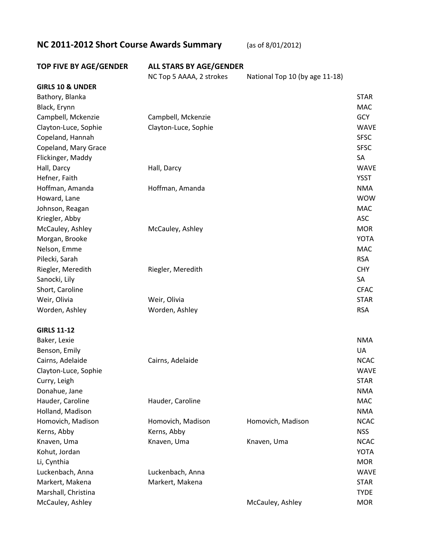## **NC 2011-2012 Short Course Awards Summary** (as of 8/01/2012)

## **TOP FIVE BY AGE/GENDER ALL STARS BY AGE/GENDER** NC Top 5 AAAA, 2 strokes National Top 10 (by age 11-18) **GIRLS 10 & UNDER** Bathory, Blanka STAR Black, Erynn MAC Campbell, Mckenzie Campbell, Mckenzie GCY Clayton-Luce, Sophie Clayton-Luce, Sophie WAVE Copeland, Hannah SFSC Copeland, Mary Grace SFSC and SFSC and SFSC and SFSC and SFSC and SFSC and SFSC and SFSC and SFSC and SFSC and SFSC and SFSC and SFSC and SFSC and SFSC and SFSC and SFSC and SFSC and SFSC and SFSC and SFSC and SFSC and SFS Flickinger, Maddy SA and Sales and Sales and Sales and Sales and Sales and Sales and Sales and Sales and Sales and Sales and Sales and Sales and Sales and Sales and Sales and Sales and Sales and Sales and Sales and Sales a Hall, Darcy Hall, Darcy WAVE Hefner, Faith YSST Hoffman, Amanda Hoffman, Amanda NMA Howard, Lane WOW Johnson, Reagan MAC and the state of the state of the state of the state of the state of the state of the state of the state of the state of the state of the state of the state of the state of the state of the state of the Kriegler, Abby ASC McCauley, Ashley **McCauley, Ashley McCauley, Ashley** MOR Morgan, Brooke YOTA Nelson, Emme MAC Nelson, and the MAC Nelson, and the MAC Nelson, and the MAC Nelson, and the MAC Nelson, and the MAC Pilecki, Sarah RSA Riegler, Meredith **Riegler, Meredith** CHY **CHY** Sanocki, Lily SAN Sanocki, Lily SAN Sanocki, Lily SAN Sanocki, Lily SAN Sanocki, Lily SAN SAN SAN SAN SAN SAN Short, Caroline CFAC Weir, Olivia Weir, Olivia STAR Worden, Ashley **Worden, Ashley RSA GIRLS 11-12** Baker, Lexie NMA Benson, Emily UA Cairns, Adelaide Cairns, Adelaide NCAC Clayton-Luce, Sophie WAVE Curry, Leigh STAR Donahue, Jane NMA Hauder, Caroline Hauder, Caroline MAC Holland, Madison NMA Homovich, Madison **Homovich, Madison** Homovich, Madison **Homovich, Madison** NCAC Kerns, Abby Kerns, Abby NSS Knaven, Uma **Kanaber Knaven, Uma** Knaven, Uma Knaven, Uma NCAC Kohut, Jordan YOTA Li, Cynthia ann an Dùbhlachas ann an Dùbhlachas ann an Dùbhlachas ann an Dùbhlachas ann an MOR Luckenbach, Anna Luckenbach, Anna WAVE Markert, Makena Markert, Makena STAR

Marshall, Christina TYDE McCauley, Ashley McCauley, Ashley MOR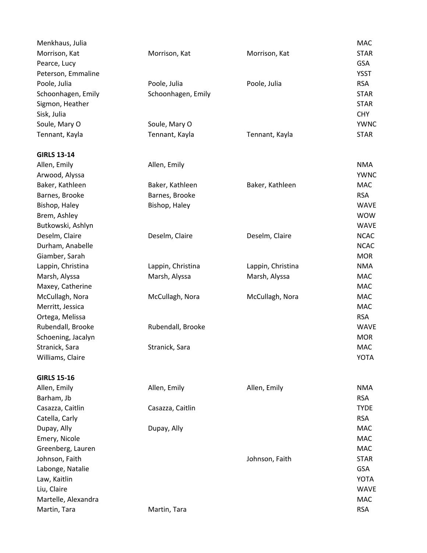| Menkhaus, Julia     |                    |                   | <b>MAC</b>  |
|---------------------|--------------------|-------------------|-------------|
| Morrison, Kat       | Morrison, Kat      | Morrison, Kat     | <b>STAR</b> |
| Pearce, Lucy        |                    |                   | <b>GSA</b>  |
| Peterson, Emmaline  |                    |                   | <b>YSST</b> |
| Poole, Julia        | Poole, Julia       | Poole, Julia      | <b>RSA</b>  |
| Schoonhagen, Emily  | Schoonhagen, Emily |                   | <b>STAR</b> |
| Sigmon, Heather     |                    |                   | <b>STAR</b> |
| Sisk, Julia         |                    |                   | <b>CHY</b>  |
| Soule, Mary O       | Soule, Mary O      |                   | <b>YWNC</b> |
| Tennant, Kayla      | Tennant, Kayla     | Tennant, Kayla    | <b>STAR</b> |
| <b>GIRLS 13-14</b>  |                    |                   |             |
| Allen, Emily        | Allen, Emily       |                   | <b>NMA</b>  |
| Arwood, Alyssa      |                    |                   | <b>YWNC</b> |
| Baker, Kathleen     | Baker, Kathleen    | Baker, Kathleen   | <b>MAC</b>  |
| Barnes, Brooke      | Barnes, Brooke     |                   | <b>RSA</b>  |
| Bishop, Haley       | Bishop, Haley      |                   | <b>WAVE</b> |
| Brem, Ashley        |                    |                   | <b>WOW</b>  |
| Butkowski, Ashlyn   |                    |                   | <b>WAVE</b> |
| Deselm, Claire      | Deselm, Claire     | Deselm, Claire    | <b>NCAC</b> |
| Durham, Anabelle    |                    |                   | <b>NCAC</b> |
| Giamber, Sarah      |                    |                   | <b>MOR</b>  |
| Lappin, Christina   | Lappin, Christina  | Lappin, Christina | <b>NMA</b>  |
| Marsh, Alyssa       | Marsh, Alyssa      | Marsh, Alyssa     | <b>MAC</b>  |
| Maxey, Catherine    |                    |                   | <b>MAC</b>  |
| McCullagh, Nora     | McCullagh, Nora    | McCullagh, Nora   | <b>MAC</b>  |
| Merritt, Jessica    |                    |                   | <b>MAC</b>  |
| Ortega, Melissa     |                    |                   | <b>RSA</b>  |
| Rubendall, Brooke   | Rubendall, Brooke  |                   | <b>WAVE</b> |
| Schoening, Jacalyn  |                    |                   | <b>MOR</b>  |
| Stranick, Sara      | Stranick, Sara     |                   | MAC         |
| Williams, Claire    |                    |                   | <b>YOTA</b> |
| <b>GIRLS 15-16</b>  |                    |                   |             |
| Allen, Emily        | Allen, Emily       | Allen, Emily      | <b>NMA</b>  |
| Barham, Jb          |                    |                   | <b>RSA</b>  |
| Casazza, Caitlin    | Casazza, Caitlin   |                   | <b>TYDE</b> |
| Catella, Carly      |                    |                   | <b>RSA</b>  |
| Dupay, Ally         | Dupay, Ally        |                   | <b>MAC</b>  |
| Emery, Nicole       |                    |                   | <b>MAC</b>  |
| Greenberg, Lauren   |                    |                   | <b>MAC</b>  |
| Johnson, Faith      |                    | Johnson, Faith    | <b>STAR</b> |
| Labonge, Natalie    |                    |                   | <b>GSA</b>  |
| Law, Kaitlin        |                    |                   | <b>YOTA</b> |
| Liu, Claire         |                    |                   | <b>WAVE</b> |
| Martelle, Alexandra |                    |                   | <b>MAC</b>  |
| Martin, Tara        | Martin, Tara       |                   | <b>RSA</b>  |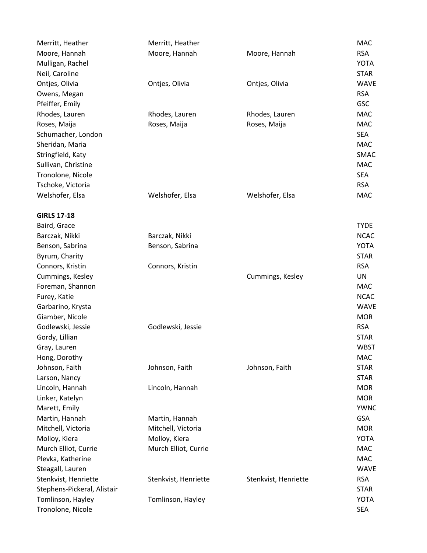| Merritt, Heather            | Merritt, Heather     |                      | MAC         |
|-----------------------------|----------------------|----------------------|-------------|
| Moore, Hannah               | Moore, Hannah        | Moore, Hannah        | <b>RSA</b>  |
| Mulligan, Rachel            |                      |                      | <b>YOTA</b> |
| Neil, Caroline              |                      |                      | <b>STAR</b> |
| Ontjes, Olivia              | Ontjes, Olivia       | Ontjes, Olivia       | <b>WAVE</b> |
| Owens, Megan                |                      |                      | <b>RSA</b>  |
| Pfeiffer, Emily             |                      |                      | <b>GSC</b>  |
| Rhodes, Lauren              | Rhodes, Lauren       | Rhodes, Lauren       | <b>MAC</b>  |
| Roses, Maija                | Roses, Maija         | Roses, Maija         | <b>MAC</b>  |
| Schumacher, London          |                      |                      | <b>SEA</b>  |
| Sheridan, Maria             |                      |                      | <b>MAC</b>  |
| Stringfield, Katy           |                      |                      | SMAC        |
| Sullivan, Christine         |                      |                      | <b>MAC</b>  |
| Tronolone, Nicole           |                      |                      | <b>SEA</b>  |
| Tschoke, Victoria           |                      |                      | <b>RSA</b>  |
| Welshofer, Elsa             | Welshofer, Elsa      | Welshofer, Elsa      | <b>MAC</b>  |
| <b>GIRLS 17-18</b>          |                      |                      |             |
| Baird, Grace                |                      |                      | <b>TYDE</b> |
| Barczak, Nikki              | Barczak, Nikki       |                      | <b>NCAC</b> |
| Benson, Sabrina             | Benson, Sabrina      |                      | <b>YOTA</b> |
| Byrum, Charity              |                      |                      | <b>STAR</b> |
| Connors, Kristin            | Connors, Kristin     |                      | <b>RSA</b>  |
| Cummings, Kesley            |                      | Cummings, Kesley     | <b>UN</b>   |
| Foreman, Shannon            |                      |                      | <b>MAC</b>  |
| Furey, Katie                |                      |                      | <b>NCAC</b> |
| Garbarino, Krysta           |                      |                      | <b>WAVE</b> |
| Giamber, Nicole             |                      |                      | <b>MOR</b>  |
| Godlewski, Jessie           | Godlewski, Jessie    |                      | <b>RSA</b>  |
| Gordy, Lillian              |                      |                      | <b>STAR</b> |
| Gray, Lauren                |                      |                      | <b>WBST</b> |
| Hong, Dorothy               |                      |                      | <b>MAC</b>  |
| Johnson, Faith              | Johnson, Faith       | Johnson, Faith       | <b>STAR</b> |
| Larson, Nancy               |                      |                      | <b>STAR</b> |
| Lincoln, Hannah             | Lincoln, Hannah      |                      | <b>MOR</b>  |
| Linker, Katelyn             |                      |                      | <b>MOR</b>  |
| Marett, Emily               |                      |                      | <b>YWNC</b> |
| Martin, Hannah              | Martin, Hannah       |                      | <b>GSA</b>  |
| Mitchell, Victoria          | Mitchell, Victoria   |                      | <b>MOR</b>  |
| Molloy, Kiera               | Molloy, Kiera        |                      | <b>YOTA</b> |
| Murch Elliot, Currie        | Murch Elliot, Currie |                      | <b>MAC</b>  |
| Plevka, Katherine           |                      |                      | <b>MAC</b>  |
| Steagall, Lauren            |                      |                      | <b>WAVE</b> |
| Stenkvist, Henriette        | Stenkvist, Henriette | Stenkvist, Henriette | <b>RSA</b>  |
| Stephens-Pickeral, Alistair |                      |                      | <b>STAR</b> |
| Tomlinson, Hayley           | Tomlinson, Hayley    |                      | <b>YOTA</b> |
| Tronolone, Nicole           |                      |                      | <b>SEA</b>  |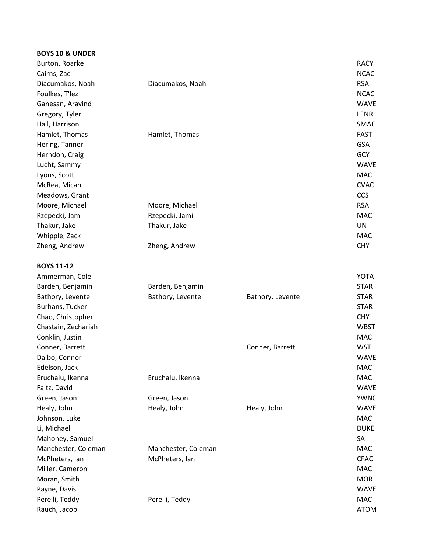| <b>BOYS 10 &amp; UNDER</b> |                     |                  |             |
|----------------------------|---------------------|------------------|-------------|
| Burton, Roarke             |                     |                  | <b>RACY</b> |
| Cairns, Zac                |                     |                  | <b>NCAC</b> |
| Diacumakos, Noah           | Diacumakos, Noah    |                  | <b>RSA</b>  |
| Foulkes, T'lez             |                     |                  | <b>NCAC</b> |
| Ganesan, Aravind           |                     |                  | <b>WAVE</b> |
| Gregory, Tyler             |                     |                  | LENR        |
| Hall, Harrison             |                     |                  | SMAC        |
| Hamlet, Thomas             | Hamlet, Thomas      |                  | <b>FAST</b> |
| Hering, Tanner             |                     |                  | <b>GSA</b>  |
| Herndon, Craig             |                     |                  | <b>GCY</b>  |
| Lucht, Sammy               |                     |                  | <b>WAVE</b> |
| Lyons, Scott               |                     |                  | <b>MAC</b>  |
| McRea, Micah               |                     |                  | <b>CVAC</b> |
| Meadows, Grant             |                     |                  | <b>CCS</b>  |
| Moore, Michael             | Moore, Michael      |                  | <b>RSA</b>  |
| Rzepecki, Jami             | Rzepecki, Jami      |                  | <b>MAC</b>  |
| Thakur, Jake               | Thakur, Jake        |                  | <b>UN</b>   |
| Whipple, Zack              |                     |                  | <b>MAC</b>  |
| Zheng, Andrew              | Zheng, Andrew       |                  | <b>CHY</b>  |
|                            |                     |                  |             |
| <b>BOYS 11-12</b>          |                     |                  |             |
| Ammerman, Cole             |                     |                  | <b>YOTA</b> |
| Barden, Benjamin           | Barden, Benjamin    |                  | <b>STAR</b> |
| Bathory, Levente           | Bathory, Levente    | Bathory, Levente | <b>STAR</b> |
| Burhans, Tucker            |                     |                  | <b>STAR</b> |
| Chao, Christopher          |                     |                  | <b>CHY</b>  |
| Chastain, Zechariah        |                     |                  | <b>WBST</b> |
| Conklin, Justin            |                     |                  | <b>MAC</b>  |
| Conner, Barrett            |                     | Conner, Barrett  | <b>WST</b>  |
| Dalbo, Connor              |                     |                  | <b>WAVE</b> |
| Edelson, Jack              |                     |                  | <b>MAC</b>  |
| Eruchalu, Ikenna           | Eruchalu, Ikenna    |                  | <b>MAC</b>  |
| Faltz, David               |                     |                  | <b>WAVE</b> |
| Green, Jason               | Green, Jason        |                  | <b>YWNC</b> |
| Healy, John                | Healy, John         | Healy, John      | <b>WAVE</b> |
| Johnson, Luke              |                     |                  | <b>MAC</b>  |
| Li, Michael                |                     |                  | <b>DUKE</b> |
| Mahoney, Samuel            |                     |                  | SA          |
| Manchester, Coleman        | Manchester, Coleman |                  | <b>MAC</b>  |
| McPheters, Ian             | McPheters, Ian      |                  | <b>CFAC</b> |
| Miller, Cameron            |                     |                  | <b>MAC</b>  |
| Moran, Smith               |                     |                  | <b>MOR</b>  |
| Payne, Davis               |                     |                  | <b>WAVE</b> |
| Perelli, Teddy             | Perelli, Teddy      |                  | <b>MAC</b>  |
|                            |                     |                  | <b>ATOM</b> |
| Rauch, Jacob               |                     |                  |             |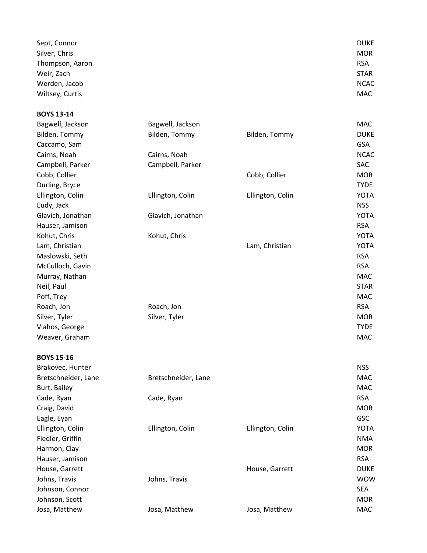| Sept, Connor    | <b>DUKE</b> |
|-----------------|-------------|
| Silver, Chris   | <b>MOR</b>  |
| Thompson, Aaron | <b>RSA</b>  |
| Weir, Zach      | <b>STAR</b> |
| Werden, Jacob   | <b>NCAC</b> |
| Wiltsey, Curtis | MAC         |

| <b>BOYS 13-14</b> |                   |                  |             |
|-------------------|-------------------|------------------|-------------|
| Bagwell, Jackson  | Bagwell, Jackson  |                  | MAC         |
| Bilden, Tommy     | Bilden, Tommy     | Bilden, Tommy    | <b>DUKE</b> |
| Caccamo, Sam      |                   |                  | <b>GSA</b>  |
| Cairns, Noah      | Cairns, Noah      |                  | <b>NCAC</b> |
| Campbell, Parker  | Campbell, Parker  |                  | <b>SAC</b>  |
| Cobb, Collier     |                   | Cobb, Collier    | <b>MOR</b>  |
| Durling, Bryce    |                   |                  | <b>TYDE</b> |
| Ellington, Colin  | Ellington, Colin  | Ellington, Colin | <b>YOTA</b> |
| Eudy, Jack        |                   |                  | <b>NSS</b>  |
| Glavich, Jonathan | Glavich, Jonathan |                  | <b>YOTA</b> |
| Hauser, Jamison   |                   |                  | <b>RSA</b>  |
| Kohut, Chris      | Kohut, Chris      |                  | <b>YOTA</b> |
| Lam, Christian    |                   | Lam, Christian   | <b>YOTA</b> |
| Maslowski, Seth   |                   |                  | <b>RSA</b>  |
| McCulloch, Gavin  |                   |                  | <b>RSA</b>  |
| Murray, Nathan    |                   |                  | <b>MAC</b>  |
| Neil, Paul        |                   |                  | <b>STAR</b> |
| Poff, Trey        |                   |                  | <b>MAC</b>  |
| Roach, Jon        | Roach, Jon        |                  | <b>RSA</b>  |
| Silver, Tyler     | Silver, Tyler     |                  | <b>MOR</b>  |
| Vlahos, George    |                   |                  | <b>TYDE</b> |
| Weaver, Graham    |                   |                  | <b>MAC</b>  |

| <b>BOYS 15-16</b>   |                     |                  |             |
|---------------------|---------------------|------------------|-------------|
| Brakovec, Hunter    |                     |                  | <b>NSS</b>  |
| Bretschneider, Lane | Bretschneider, Lane |                  | MAC         |
| Burt, Bailey        |                     |                  | <b>MAC</b>  |
| Cade, Ryan          | Cade, Ryan          |                  | <b>RSA</b>  |
| Craig, David        |                     |                  | <b>MOR</b>  |
| Eagle, Eyan         |                     |                  | <b>GSC</b>  |
| Ellington, Colin    | Ellington, Colin    | Ellington, Colin | <b>YOTA</b> |
| Fiedler, Griffin    |                     |                  | <b>NMA</b>  |
| Harmon, Clay        |                     |                  | <b>MOR</b>  |
| Hauser, Jamison     |                     |                  | <b>RSA</b>  |
| House, Garrett      |                     | House, Garrett   | <b>DUKE</b> |
| Johns, Travis       | Johns, Travis       |                  | <b>WOW</b>  |
| Johnson, Connor     |                     |                  | <b>SEA</b>  |
| Johnson, Scott      |                     |                  | <b>MOR</b>  |
| Josa, Matthew       | Josa, Matthew       | Josa, Matthew    | MAC         |